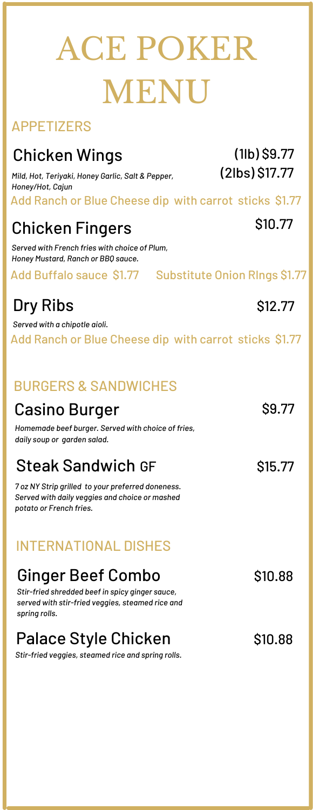# ACE POKER MENU

#### **APPFTIZERS**

# Chicken Wings (11b) \$9.77

Add Ranch or Blue Cheese dip with carrot sticks \$1.77 *Mild, Hot, Teriyaki, Honey Garlic, Salt & Pepper, Honey/Hot, Cajun*

### Chicken Fingers

*Served with French fries with choice of Plum, Honey Mustard, Ranch or BBQ sauce.*

#### Add Buffalo sauce \$1.77 Substitute Onion RIngs \$1.77

# $\mathsf{Dry\, Ribs}$  \$12.77

Add Ranch or Blue Cheese dip with carrot sticks \$1.77 *Served with a chipotle aioli.*

#### BURGERS & SANDWICHES

#### Casino Burger

*Homemade beef burger. Served with choice of fries, daily soup or garden salad.*

#### Steak Sandwich GF \$15.77

*7 oz NY Strip grilled to your preferred doneness. Served with daily veggies and choice or mashed potato or French fries.*

#### INTERNATIONAL DISHES

#### Ginger Beef Combo \$10.88

*Stir-fried shredded beef in spicy ginger sauce, served with stir-fried veggies, steamed rice and spring rolls.*

# Palace Style Chicken 510.88

*Stir-fried veggies, steamed rice and spring rolls.*

\$10.77

(2lbs) \$17.77

### \$9.77